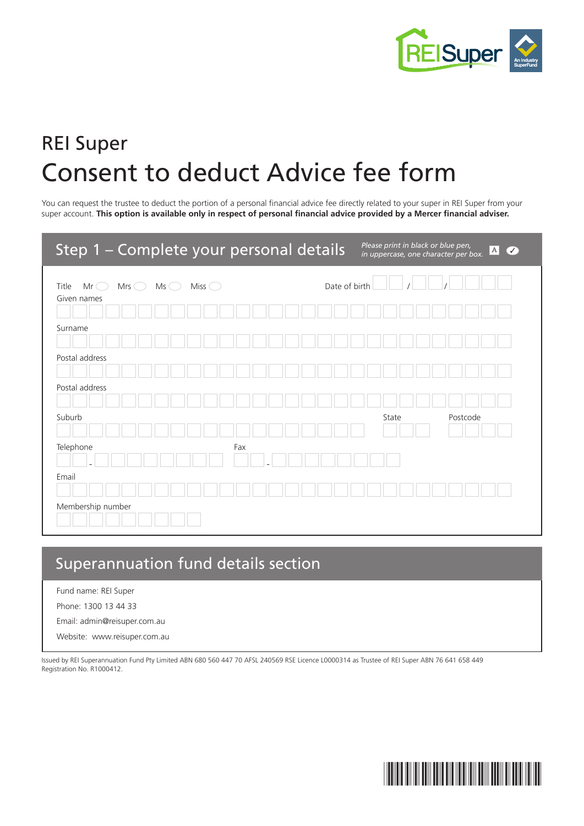

# REI Super Consent to deduct Advice fee form

You can request the trustee to deduct the portion of a personal financial advice fee directly related to your super in REI Super from your super account. **This option is available only in respect of personal financial advice provided by a Mercer financial adviser.**

| Step 1 - Complete your personal details                                         |               | Please print in black or blue pen,<br>in uppercase, one character per box. | A <br>$\overline{\mathcal{C}}$ |
|---------------------------------------------------------------------------------|---------------|----------------------------------------------------------------------------|--------------------------------|
| Miss $\bigcirc$<br>Title<br>$Mr\bigcirc$<br>Mrs $\bigcirc$<br>Ms<br>Given names | Date of birth |                                                                            |                                |
| Surname                                                                         |               |                                                                            |                                |
| Postal address                                                                  |               |                                                                            |                                |
| Postal address<br>Suburb                                                        |               | State                                                                      | Postcode                       |
| Telephone<br>Fax                                                                |               |                                                                            |                                |
| Email                                                                           |               |                                                                            |                                |
| Membership number                                                               |               |                                                                            |                                |

# Superannuation fund details section

Fund name: REI Super

Phone: 1300 13 44 33

Email: admin@reisuper.com.au

Website: www.reisuper.com.au

Issued by REI Superannuation Fund Pty Limited ABN 680 560 447 70 AFSL 240569 RSE Licence L0000314 as Trustee of REI Super ABN 76 641 658 449 Registration No. R1000412.

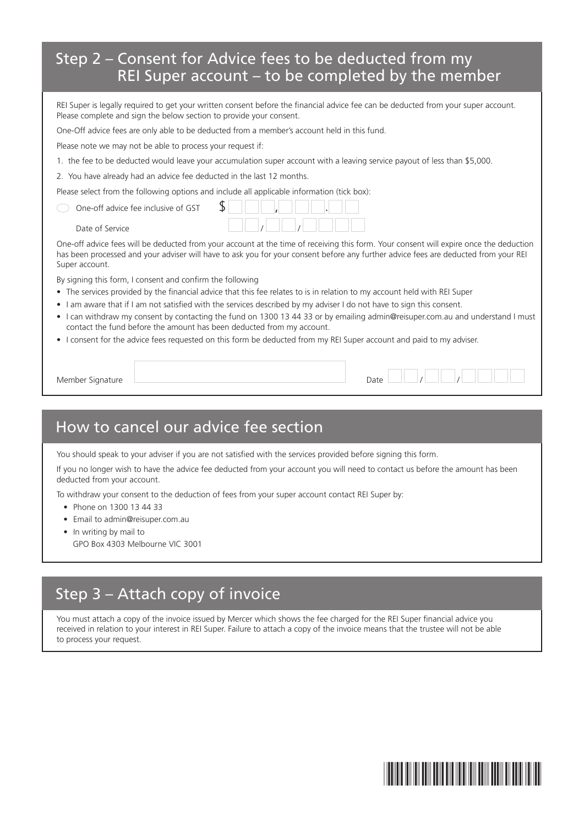#### Step 2 – Consent for Advice fees to be deducted from my REI Super account – to be completed by the member

REI Super is legally required to get your written consent before the financial advice fee can be deducted from your super account. Please complete and sign the below section to provide your consent.

One-Off advice fees are only able to be deducted from a member's account held in this fund.

Please note we may not be able to process your request if:

- 1. the fee to be deducted would leave your accumulation super account with a leaving service payout of less than \$5,000.
- 2. You have already had an advice fee deducted in the last 12 months.

Please select from the following options and include all applicable information (tick box):

| One-off advice fee inclusive of GST |  |
|-------------------------------------|--|
| Date of Service                     |  |

One-off advice fees will be deducted from your account at the time of receiving this form. Your consent will expire once the deduction has been processed and your adviser will have to ask you for your consent before any further advice fees are deducted from your REI Super account.

By signing this form, I consent and confirm the following

- The services provided by the financial advice that this fee relates to is in relation to my account held with REI Super
- I am aware that if I am not satisfied with the services described by my adviser I do not have to sign this consent.
- I can withdraw my consent by contacting the fund on 1300 13 44 33 or by emailing admin@reisuper.com.au and understand I must contact the fund before the amount has been deducted from my account.
- I consent for the advice fees requested on this form be deducted from my REI Super account and paid to my adviser.

Member Signature Date / /

#### How to cancel our advice fee section

You should speak to your adviser if you are not satisfied with the services provided before signing this form.

If you no longer wish to have the advice fee deducted from your account you will need to contact us before the amount has been deducted from your account.

To withdraw your consent to the deduction of fees from your super account contact REI Super by:

- Phone on 1300 13 44 33
- Email to admin@reisuper.com.au
- In writing by mail to GPO Box 4303 Melbourne VIC 3001

#### Step 3 – Attach copy of invoice

You must attach a copy of the invoice issued by Mercer which shows the fee charged for the REI Super financial advice you received in relation to your interest in REI Super. Failure to attach a copy of the invoice means that the trustee will not be able to process your request.

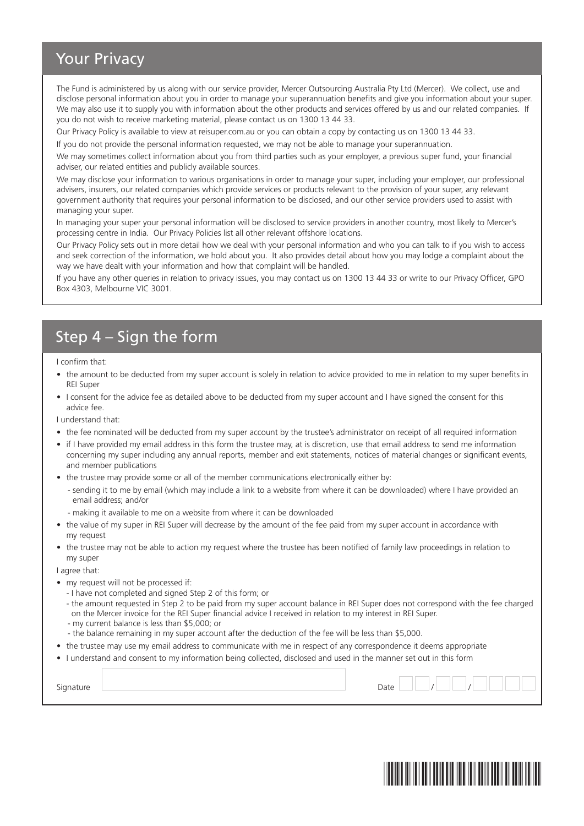## Your Privacy

The Fund is administered by us along with our service provider, Mercer Outsourcing Australia Pty Ltd (Mercer). We collect, use and disclose personal information about you in order to manage your superannuation benefits and give you information about your super. We may also use it to supply you with information about the other products and services offered by us and our related companies. If you do not wish to receive marketing material, please contact us on 1300 13 44 33.

Our Privacy Policy is available to view at reisuper.com.au or you can obtain a copy by contacting us on 1300 13 44 33.

If you do not provide the personal information requested, we may not be able to manage your superannuation.

We may sometimes collect information about you from third parties such as your employer, a previous super fund, your financial adviser, our related entities and publicly available sources.

We may disclose your information to various organisations in order to manage your super, including your employer, our professional advisers, insurers, our related companies which provide services or products relevant to the provision of your super, any relevant government authority that requires your personal information to be disclosed, and our other service providers used to assist with managing your super.

In managing your super your personal information will be disclosed to service providers in another country, most likely to Mercer's processing centre in India. Our Privacy Policies list all other relevant offshore locations.

Our Privacy Policy sets out in more detail how we deal with your personal information and who you can talk to if you wish to access and seek correction of the information, we hold about you. It also provides detail about how you may lodge a complaint about the way we have dealt with your information and how that complaint will be handled.

If you have any other queries in relation to privacy issues, you may contact us on 1300 13 44 33 or write to our Privacy Officer, GPO Box 4303, Melbourne VIC 3001.

### Step 4 – Sign the form

I confirm that:

- the amount to be deducted from my super account is solely in relation to advice provided to me in relation to my super benefits in REI Super
- I consent for the advice fee as detailed above to be deducted from my super account and I have signed the consent for this advice fee.

I understand that:

- the fee nominated will be deducted from my super account by the trustee's administrator on receipt of all required information
- if I have provided my email address in this form the trustee may, at is discretion, use that email address to send me information concerning my super including any annual reports, member and exit statements, notices of material changes or significant events, and member publications
- the trustee may provide some or all of the member communications electronically either by:
	- sending it to me by email (which may include a link to a website from where it can be downloaded) where I have provided an email address; and/or
	- making it available to me on a website from where it can be downloaded
- the value of my super in REI Super will decrease by the amount of the fee paid from my super account in accordance with my request
- the trustee may not be able to action my request where the trustee has been notified of family law proceedings in relation to my super

I agree that:

- my request will not be processed if:
	- I have not completed and signed Step 2 of this form; or
	- the amount requested in Step 2 to be paid from my super account balance in REI Super does not correspond with the fee charged on the Mercer invoice for the REI Super financial advice I received in relation to my interest in REI Super.
	- my current balance is less than \$5,000; or
	- the balance remaining in my super account after the deduction of the fee will be less than \$5,000.
- the trustee may use my email address to communicate with me in respect of any correspondence it deems appropriate
- I understand and consent to my information being collected, disclosed and used in the manner set out in this form

 ${\sf Signature}$   $\begin{picture}(10,10) \put(0,0){\dashbox{0.5}(10,0){ }} \put(15,0){\dashbox{0.5}(10,0){ }} \put(15,0){\dashbox{0.5}(10,0){ }} \put(15,0){\dashbox{0.5}(10,0){ }} \put(15,0){\dashbox{0.5}(10,0){ }} \put(15,0){\dashbox{0.5}(10,0){ }} \put(15,0){\dashbox{0.5}(10,0){ }} \put(15,0){\dashbox{0.5}(10,0){ }} \put(15,0){\dashbox{0.5}(10,0){ }} \put(15$